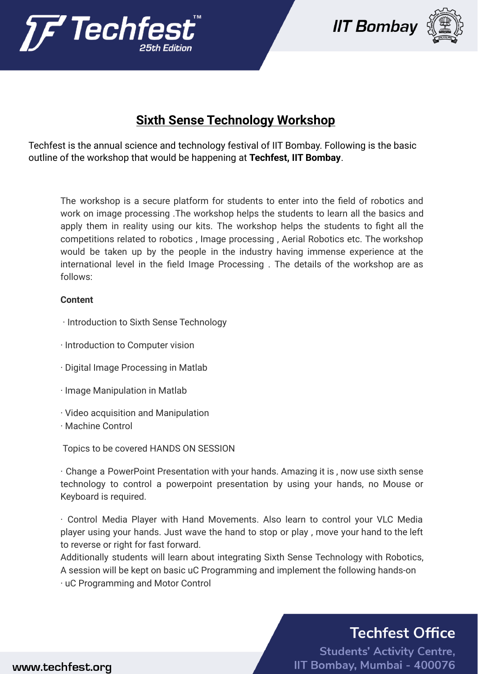





## **Sixth Sense Technology Workshop**

Techfest is the annual science and technology festival of IIT Bombay. Following is the basic outline of the workshop that would be happening at **Techfest, IIT Bombay**.

The workshop is a secure platform for students to enter into the field of robotics and work on image processing .The workshop helps the students to learn all the basics and apply them in reality using our kits. The workshop helps the students to fight all the competitions related to robotics , Image processing , Aerial Robotics etc. The workshop would be taken up by the people in the industry having immense experience at the international level in the field Image Processing . The details of the workshop are as follows:

## **Content**

- · Introduction to Sixth Sense Technology
- · Introduction to Computer vision
- · Digital Image Processing in Matlab
- · Image Manipulation in Matlab
- · Video acquisition and Manipulation
- · Machine Control

Topics to be covered HANDS ON SESSION

· Change a PowerPoint Presentation with your hands. Amazing it is , now use sixth sense technology to control a powerpoint presentation by using your hands, no Mouse or Keyboard is required.

· Control Media Player with Hand Movements. Also learn to control your VLC Media player using your hands. Just wave the hand to stop or play , move your hand to the left to reverse or right for fast forward.

Additionally students will learn about integrating Sixth Sense Technology with Robotics, A session will be kept on basic uC Programming and implement the following hands-on

· uC Programming and Motor Control

## **Techfest Office**

**Students' Activity Centre,** IIT Bombay, Mumbai - 400076